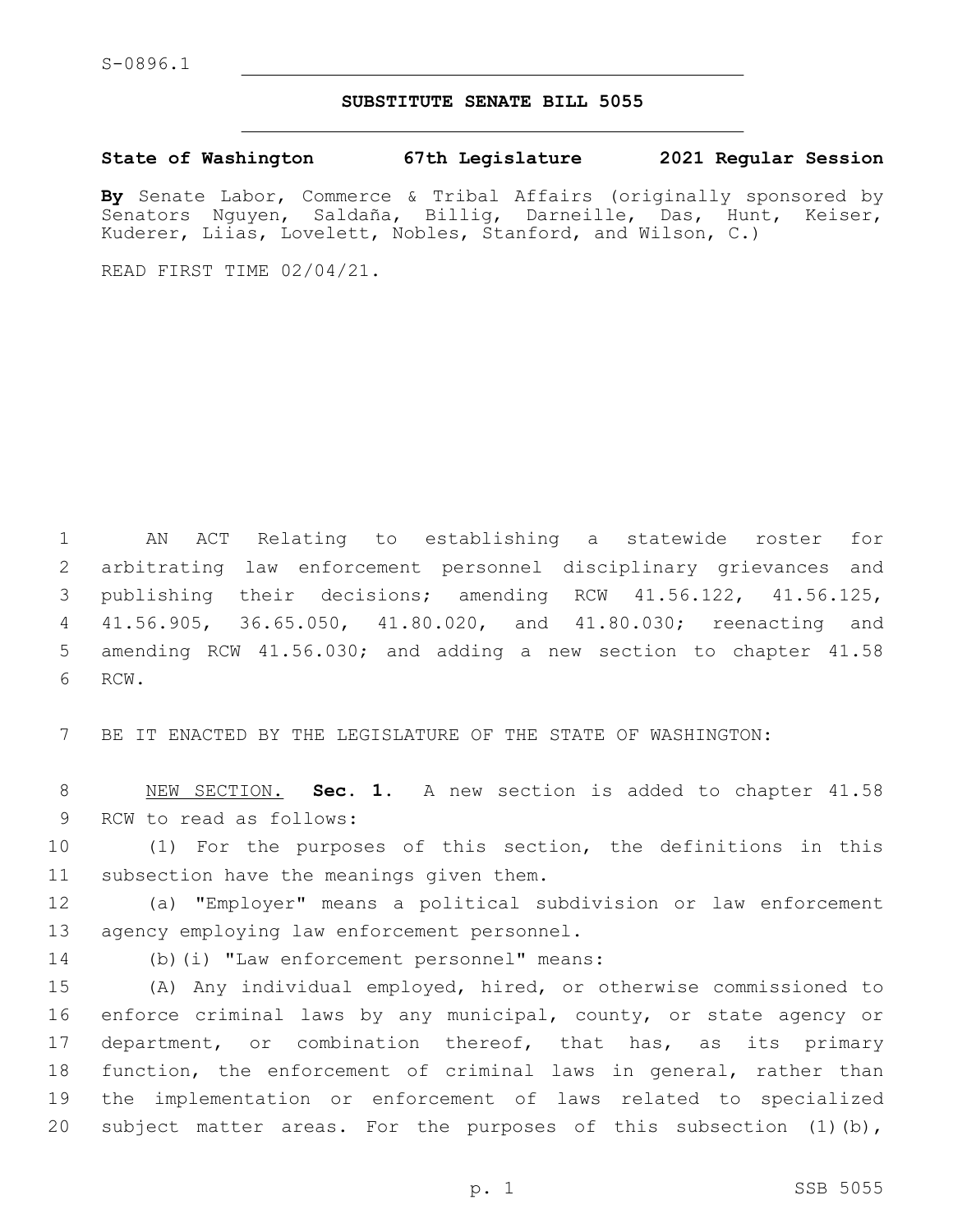## **SUBSTITUTE SENATE BILL 5055**

**State of Washington 67th Legislature 2021 Regular Session**

**By** Senate Labor, Commerce & Tribal Affairs (originally sponsored by Senators Nguyen, Saldaña, Billig, Darneille, Das, Hunt, Keiser, Kuderer, Liias, Lovelett, Nobles, Stanford, and Wilson, C.)

READ FIRST TIME 02/04/21.

 AN ACT Relating to establishing a statewide roster for arbitrating law enforcement personnel disciplinary grievances and publishing their decisions; amending RCW 41.56.122, 41.56.125, 41.56.905, 36.65.050, 41.80.020, and 41.80.030; reenacting and amending RCW 41.56.030; and adding a new section to chapter 41.58 6 RCW.

7 BE IT ENACTED BY THE LEGISLATURE OF THE STATE OF WASHINGTON:

8 NEW SECTION. **Sec. 1.** A new section is added to chapter 41.58 9 RCW to read as follows:

10 (1) For the purposes of this section, the definitions in this 11 subsection have the meanings given them.

12 (a) "Employer" means a political subdivision or law enforcement 13 agency employing law enforcement personnel.

14 (b)(i) "Law enforcement personnel" means:

 (A) Any individual employed, hired, or otherwise commissioned to enforce criminal laws by any municipal, county, or state agency or 17 department, or combination thereof, that has, as its primary function, the enforcement of criminal laws in general, rather than the implementation or enforcement of laws related to specialized subject matter areas. For the purposes of this subsection (1)(b),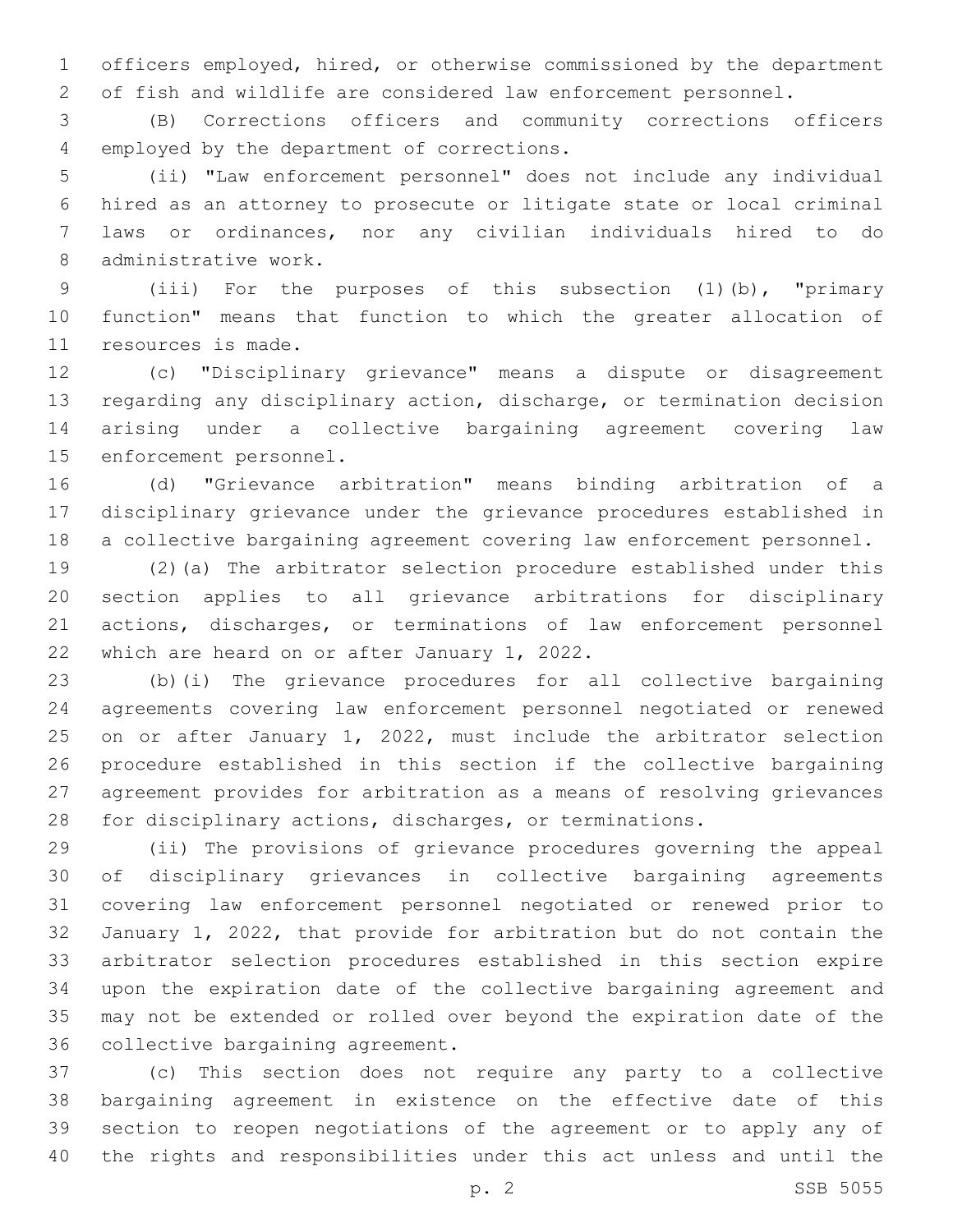officers employed, hired, or otherwise commissioned by the department of fish and wildlife are considered law enforcement personnel.

 (B) Corrections officers and community corrections officers 4 employed by the department of corrections.

 (ii) "Law enforcement personnel" does not include any individual hired as an attorney to prosecute or litigate state or local criminal laws or ordinances, nor any civilian individuals hired to do 8 administrative work.

 (iii) For the purposes of this subsection (1)(b), "primary function" means that function to which the greater allocation of 11 resources is made.

 (c) "Disciplinary grievance" means a dispute or disagreement regarding any disciplinary action, discharge, or termination decision arising under a collective bargaining agreement covering law 15 enforcement personnel.

 (d) "Grievance arbitration" means binding arbitration of a disciplinary grievance under the grievance procedures established in a collective bargaining agreement covering law enforcement personnel.

 (2)(a) The arbitrator selection procedure established under this section applies to all grievance arbitrations for disciplinary actions, discharges, or terminations of law enforcement personnel 22 which are heard on or after January 1, 2022.

 (b)(i) The grievance procedures for all collective bargaining agreements covering law enforcement personnel negotiated or renewed on or after January 1, 2022, must include the arbitrator selection procedure established in this section if the collective bargaining agreement provides for arbitration as a means of resolving grievances for disciplinary actions, discharges, or terminations.

 (ii) The provisions of grievance procedures governing the appeal of disciplinary grievances in collective bargaining agreements covering law enforcement personnel negotiated or renewed prior to January 1, 2022, that provide for arbitration but do not contain the arbitrator selection procedures established in this section expire upon the expiration date of the collective bargaining agreement and may not be extended or rolled over beyond the expiration date of the 36 collective bargaining agreement.

 (c) This section does not require any party to a collective bargaining agreement in existence on the effective date of this section to reopen negotiations of the agreement or to apply any of the rights and responsibilities under this act unless and until the

p. 2 SSB 5055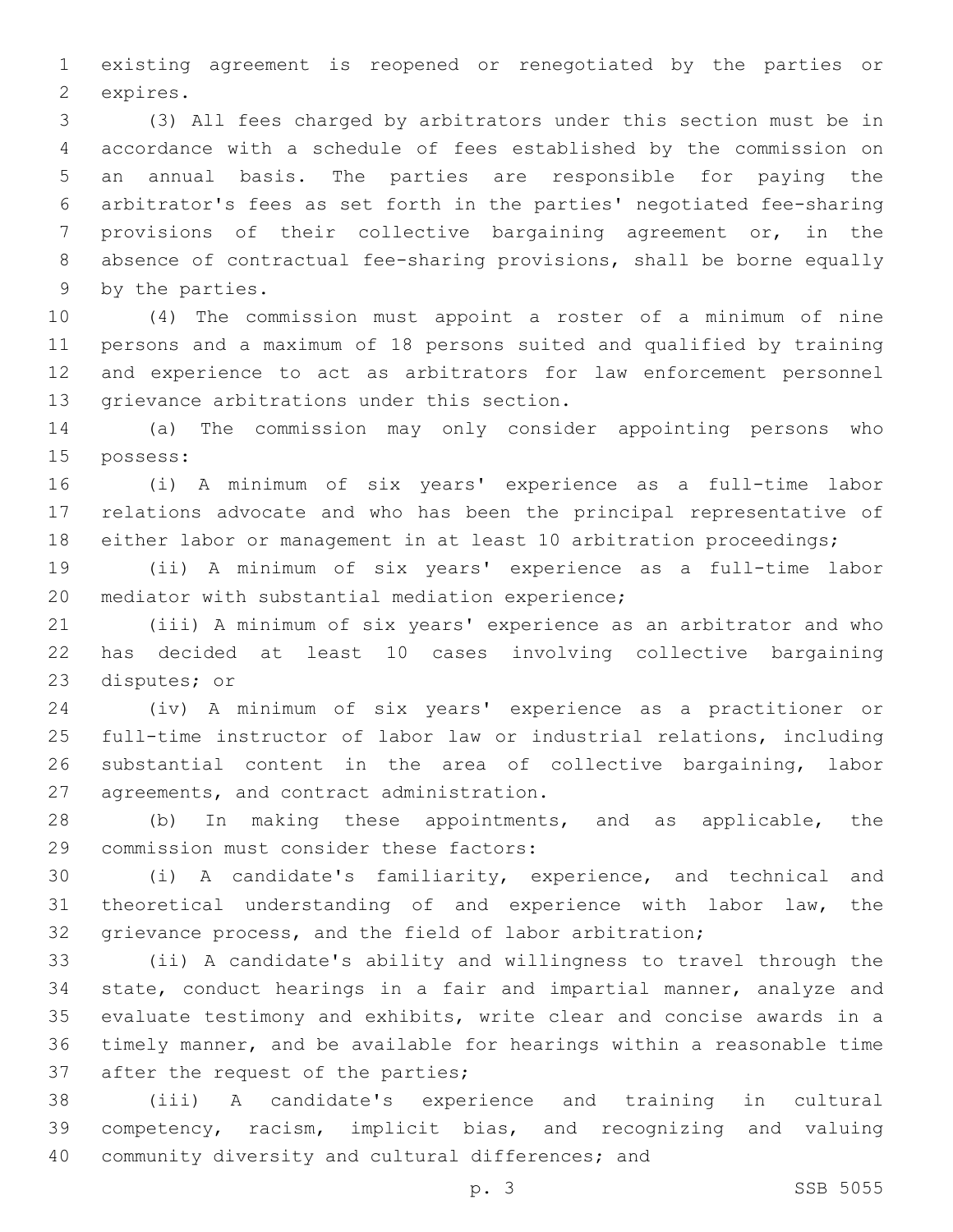existing agreement is reopened or renegotiated by the parties or 2 expires.

 (3) All fees charged by arbitrators under this section must be in accordance with a schedule of fees established by the commission on an annual basis. The parties are responsible for paying the arbitrator's fees as set forth in the parties' negotiated fee-sharing provisions of their collective bargaining agreement or, in the absence of contractual fee-sharing provisions, shall be borne equally 9 by the parties.

 (4) The commission must appoint a roster of a minimum of nine persons and a maximum of 18 persons suited and qualified by training and experience to act as arbitrators for law enforcement personnel 13 grievance arbitrations under this section.

 (a) The commission may only consider appointing persons who 15 possess:

 (i) A minimum of six years' experience as a full-time labor relations advocate and who has been the principal representative of either labor or management in at least 10 arbitration proceedings;

 (ii) A minimum of six years' experience as a full-time labor 20 mediator with substantial mediation experience;

 (iii) A minimum of six years' experience as an arbitrator and who has decided at least 10 cases involving collective bargaining 23 disputes; or

 (iv) A minimum of six years' experience as a practitioner or full-time instructor of labor law or industrial relations, including substantial content in the area of collective bargaining, labor 27 agreements, and contract administration.

 (b) In making these appointments, and as applicable, the 29 commission must consider these factors:

 (i) A candidate's familiarity, experience, and technical and theoretical understanding of and experience with labor law, the grievance process, and the field of labor arbitration;

 (ii) A candidate's ability and willingness to travel through the state, conduct hearings in a fair and impartial manner, analyze and evaluate testimony and exhibits, write clear and concise awards in a timely manner, and be available for hearings within a reasonable time 37 after the request of the parties;

 (iii) A candidate's experience and training in cultural competency, racism, implicit bias, and recognizing and valuing 40 community diversity and cultural differences; and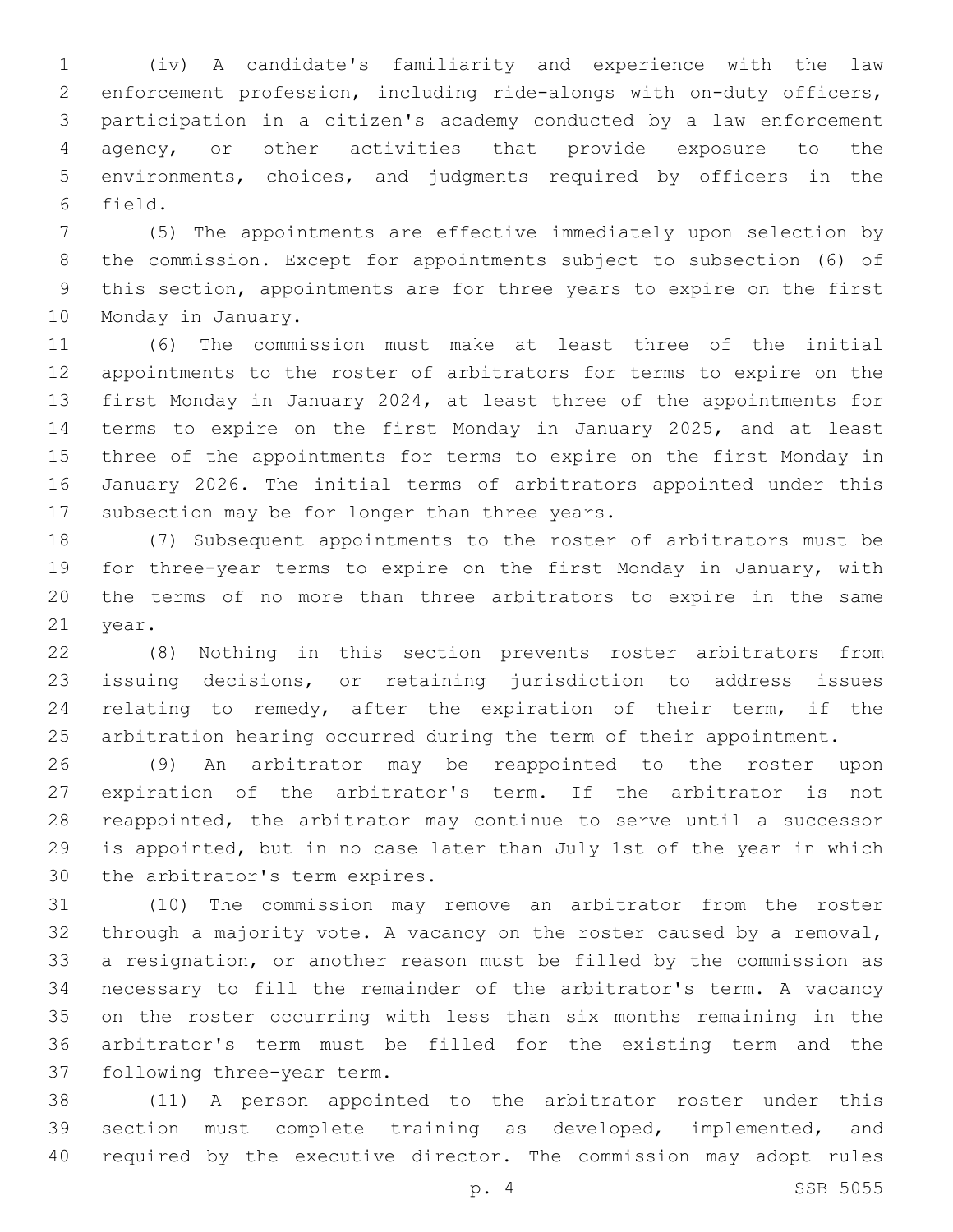(iv) A candidate's familiarity and experience with the law enforcement profession, including ride-alongs with on-duty officers, participation in a citizen's academy conducted by a law enforcement agency, or other activities that provide exposure to the environments, choices, and judgments required by officers in the 6 field.

 (5) The appointments are effective immediately upon selection by the commission. Except for appointments subject to subsection (6) of this section, appointments are for three years to expire on the first 10 Monday in January.

 (6) The commission must make at least three of the initial appointments to the roster of arbitrators for terms to expire on the first Monday in January 2024, at least three of the appointments for terms to expire on the first Monday in January 2025, and at least three of the appointments for terms to expire on the first Monday in January 2026. The initial terms of arbitrators appointed under this 17 subsection may be for longer than three years.

 (7) Subsequent appointments to the roster of arbitrators must be for three-year terms to expire on the first Monday in January, with the terms of no more than three arbitrators to expire in the same 21 year.

 (8) Nothing in this section prevents roster arbitrators from issuing decisions, or retaining jurisdiction to address issues relating to remedy, after the expiration of their term, if the arbitration hearing occurred during the term of their appointment.

 (9) An arbitrator may be reappointed to the roster upon expiration of the arbitrator's term. If the arbitrator is not reappointed, the arbitrator may continue to serve until a successor is appointed, but in no case later than July 1st of the year in which 30 the arbitrator's term expires.

 (10) The commission may remove an arbitrator from the roster through a majority vote. A vacancy on the roster caused by a removal, a resignation, or another reason must be filled by the commission as necessary to fill the remainder of the arbitrator's term. A vacancy on the roster occurring with less than six months remaining in the arbitrator's term must be filled for the existing term and the 37 following three-year term.

 (11) A person appointed to the arbitrator roster under this section must complete training as developed, implemented, and required by the executive director. The commission may adopt rules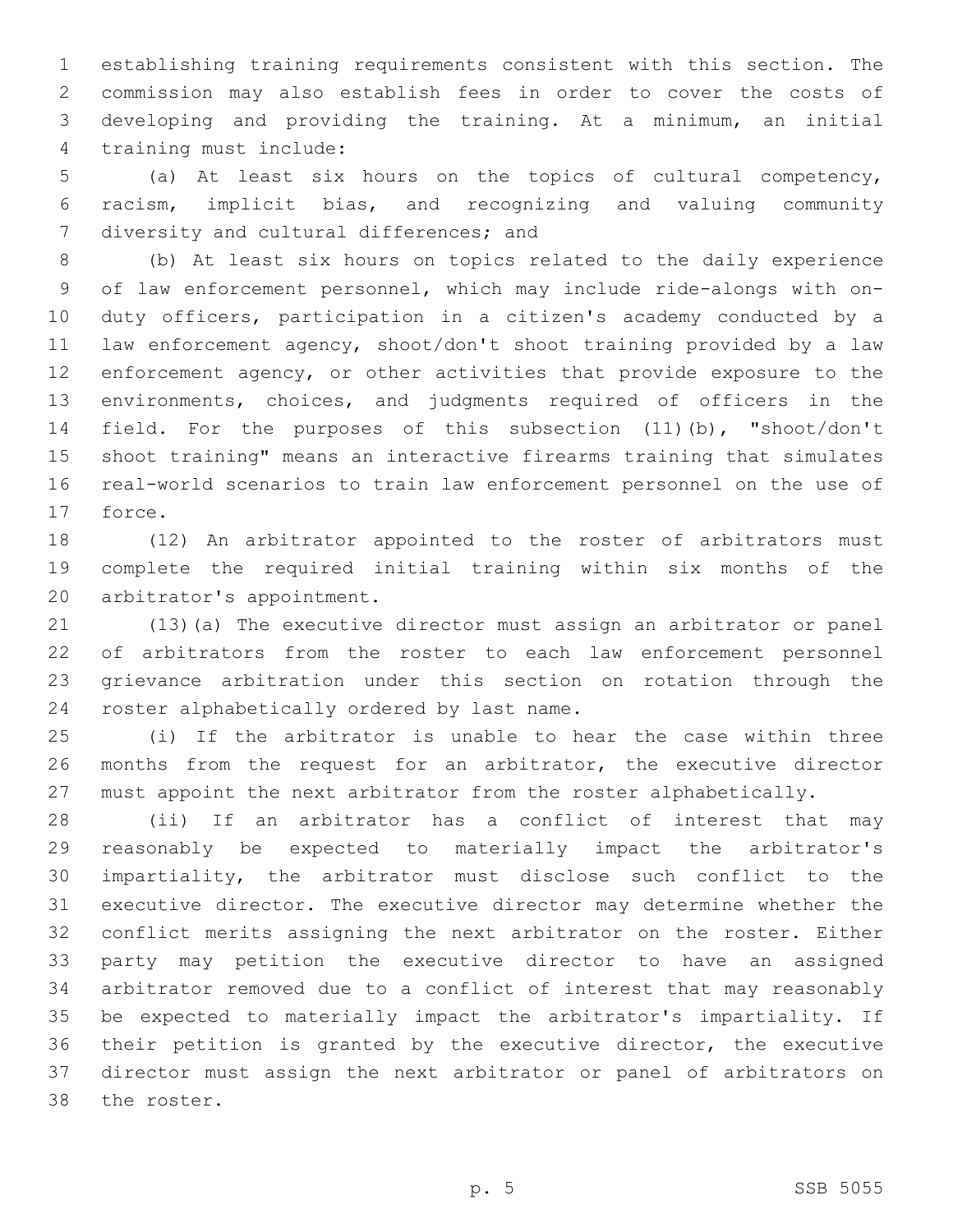establishing training requirements consistent with this section. The commission may also establish fees in order to cover the costs of developing and providing the training. At a minimum, an initial 4 training must include:

 (a) At least six hours on the topics of cultural competency, racism, implicit bias, and recognizing and valuing community 7 diversity and cultural differences; and

 (b) At least six hours on topics related to the daily experience of law enforcement personnel, which may include ride-alongs with on- duty officers, participation in a citizen's academy conducted by a law enforcement agency, shoot/don't shoot training provided by a law enforcement agency, or other activities that provide exposure to the environments, choices, and judgments required of officers in the field. For the purposes of this subsection (11)(b), "shoot/don't shoot training" means an interactive firearms training that simulates real-world scenarios to train law enforcement personnel on the use of 17 force.

 (12) An arbitrator appointed to the roster of arbitrators must complete the required initial training within six months of the 20 arbitrator's appointment.

 (13)(a) The executive director must assign an arbitrator or panel of arbitrators from the roster to each law enforcement personnel grievance arbitration under this section on rotation through the 24 roster alphabetically ordered by last name.

 (i) If the arbitrator is unable to hear the case within three months from the request for an arbitrator, the executive director must appoint the next arbitrator from the roster alphabetically.

 (ii) If an arbitrator has a conflict of interest that may reasonably be expected to materially impact the arbitrator's impartiality, the arbitrator must disclose such conflict to the executive director. The executive director may determine whether the conflict merits assigning the next arbitrator on the roster. Either party may petition the executive director to have an assigned arbitrator removed due to a conflict of interest that may reasonably be expected to materially impact the arbitrator's impartiality. If their petition is granted by the executive director, the executive director must assign the next arbitrator or panel of arbitrators on 38 the roster.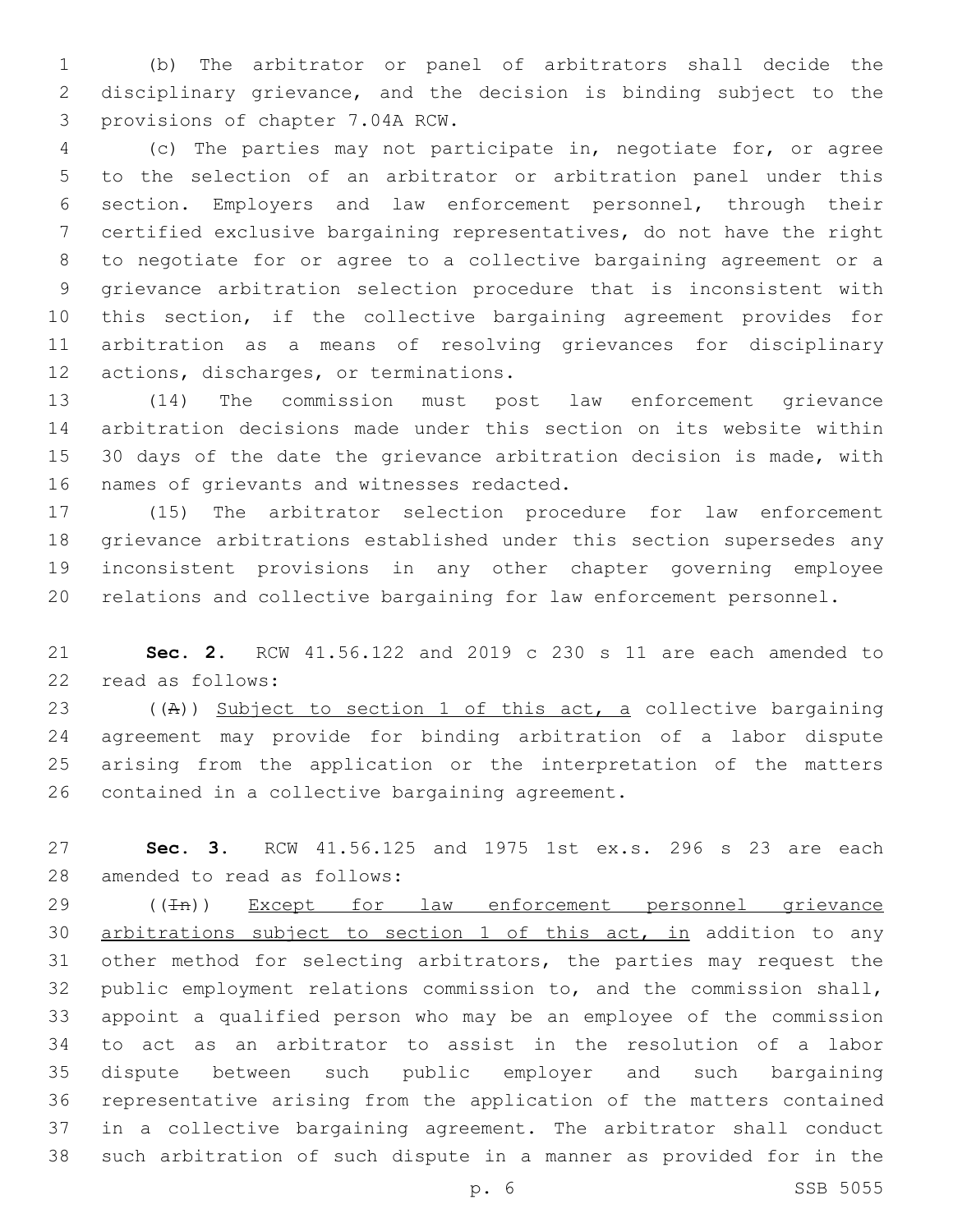(b) The arbitrator or panel of arbitrators shall decide the disciplinary grievance, and the decision is binding subject to the 3 provisions of chapter 7.04A RCW.

 (c) The parties may not participate in, negotiate for, or agree to the selection of an arbitrator or arbitration panel under this section. Employers and law enforcement personnel, through their certified exclusive bargaining representatives, do not have the right to negotiate for or agree to a collective bargaining agreement or a grievance arbitration selection procedure that is inconsistent with this section, if the collective bargaining agreement provides for arbitration as a means of resolving grievances for disciplinary 12 actions, discharges, or terminations.

 (14) The commission must post law enforcement grievance arbitration decisions made under this section on its website within 15 30 days of the date the grievance arbitration decision is made, with 16 names of grievants and witnesses redacted.

 (15) The arbitrator selection procedure for law enforcement grievance arbitrations established under this section supersedes any inconsistent provisions in any other chapter governing employee relations and collective bargaining for law enforcement personnel.

 **Sec. 2.** RCW 41.56.122 and 2019 c 230 s 11 are each amended to 22 read as follows:

23 ((A)) Subject to section 1 of this act, a collective bargaining agreement may provide for binding arbitration of a labor dispute arising from the application or the interpretation of the matters 26 contained in a collective bargaining agreement.

 **Sec. 3.** RCW 41.56.125 and 1975 1st ex.s. 296 s 23 are each 28 amended to read as follows:

29 ((In)) Except for law enforcement personnel grievance arbitrations subject to section 1 of this act, in addition to any other method for selecting arbitrators, the parties may request the public employment relations commission to, and the commission shall, appoint a qualified person who may be an employee of the commission to act as an arbitrator to assist in the resolution of a labor dispute between such public employer and such bargaining representative arising from the application of the matters contained in a collective bargaining agreement. The arbitrator shall conduct such arbitration of such dispute in a manner as provided for in the

p. 6 SSB 5055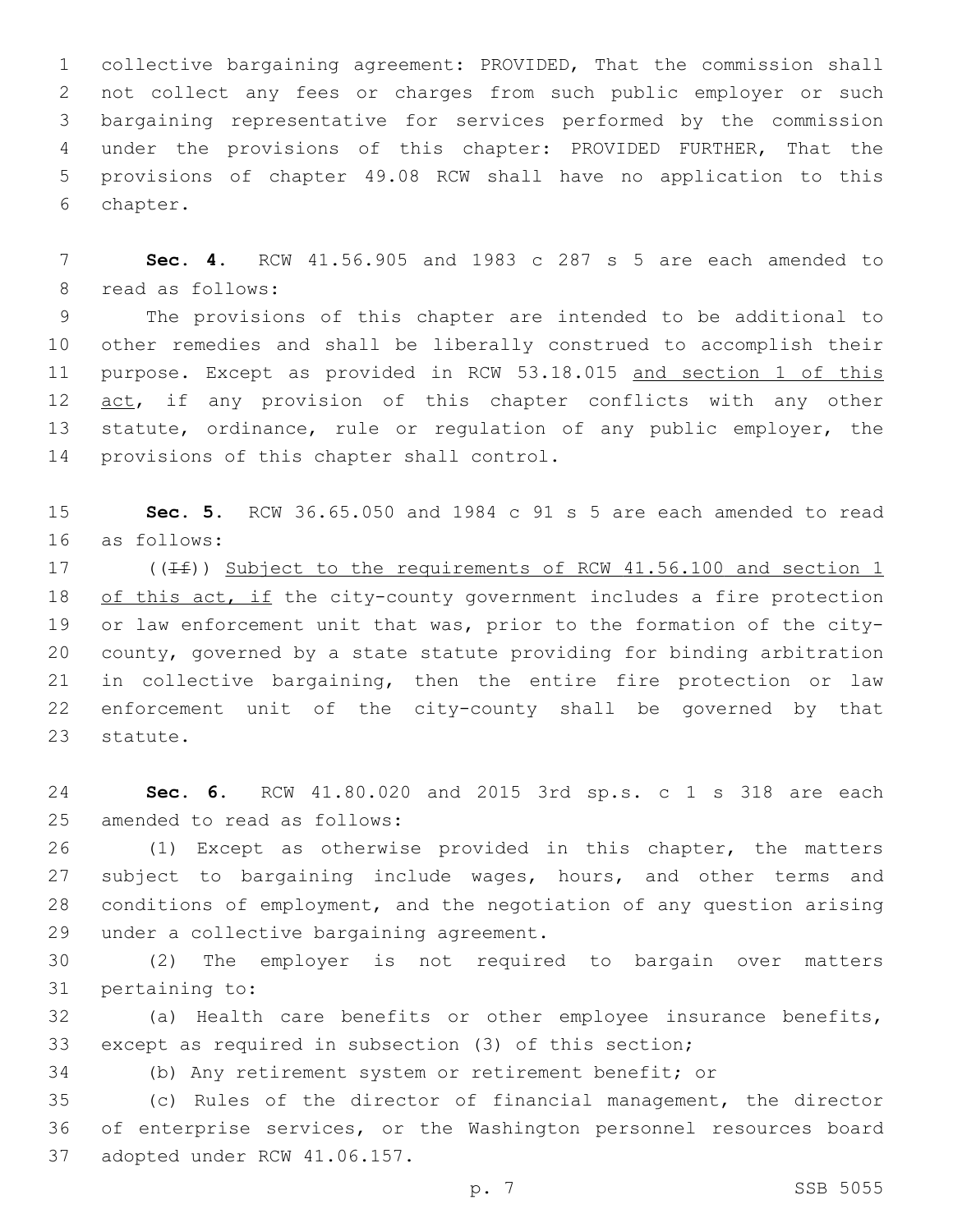collective bargaining agreement: PROVIDED, That the commission shall not collect any fees or charges from such public employer or such bargaining representative for services performed by the commission under the provisions of this chapter: PROVIDED FURTHER, That the provisions of chapter 49.08 RCW shall have no application to this 6 chapter.

 **Sec. 4.** RCW 41.56.905 and 1983 c 287 s 5 are each amended to 8 read as follows:

 The provisions of this chapter are intended to be additional to other remedies and shall be liberally construed to accomplish their purpose. Except as provided in RCW 53.18.015 and section 1 of this 12 act, if any provision of this chapter conflicts with any other statute, ordinance, rule or regulation of any public employer, the 14 provisions of this chapter shall control.

 **Sec. 5.** RCW 36.65.050 and 1984 c 91 s 5 are each amended to read 16 as follows:

17 ( $(\pm f)$ ) Subject to the requirements of RCW 41.56.100 and section 1 18 of this act, if the city-county government includes a fire protection or law enforcement unit that was, prior to the formation of the city- county, governed by a state statute providing for binding arbitration in collective bargaining, then the entire fire protection or law enforcement unit of the city-county shall be governed by that 23 statute.

 **Sec. 6.** RCW 41.80.020 and 2015 3rd sp.s. c 1 s 318 are each 25 amended to read as follows:

 (1) Except as otherwise provided in this chapter, the matters 27 subject to bargaining include wages, hours, and other terms and conditions of employment, and the negotiation of any question arising 29 under a collective bargaining agreement.

 (2) The employer is not required to bargain over matters 31 pertaining to:

 (a) Health care benefits or other employee insurance benefits, except as required in subsection (3) of this section;

(b) Any retirement system or retirement benefit; or

 (c) Rules of the director of financial management, the director of enterprise services, or the Washington personnel resources board 37 adopted under RCW 41.06.157.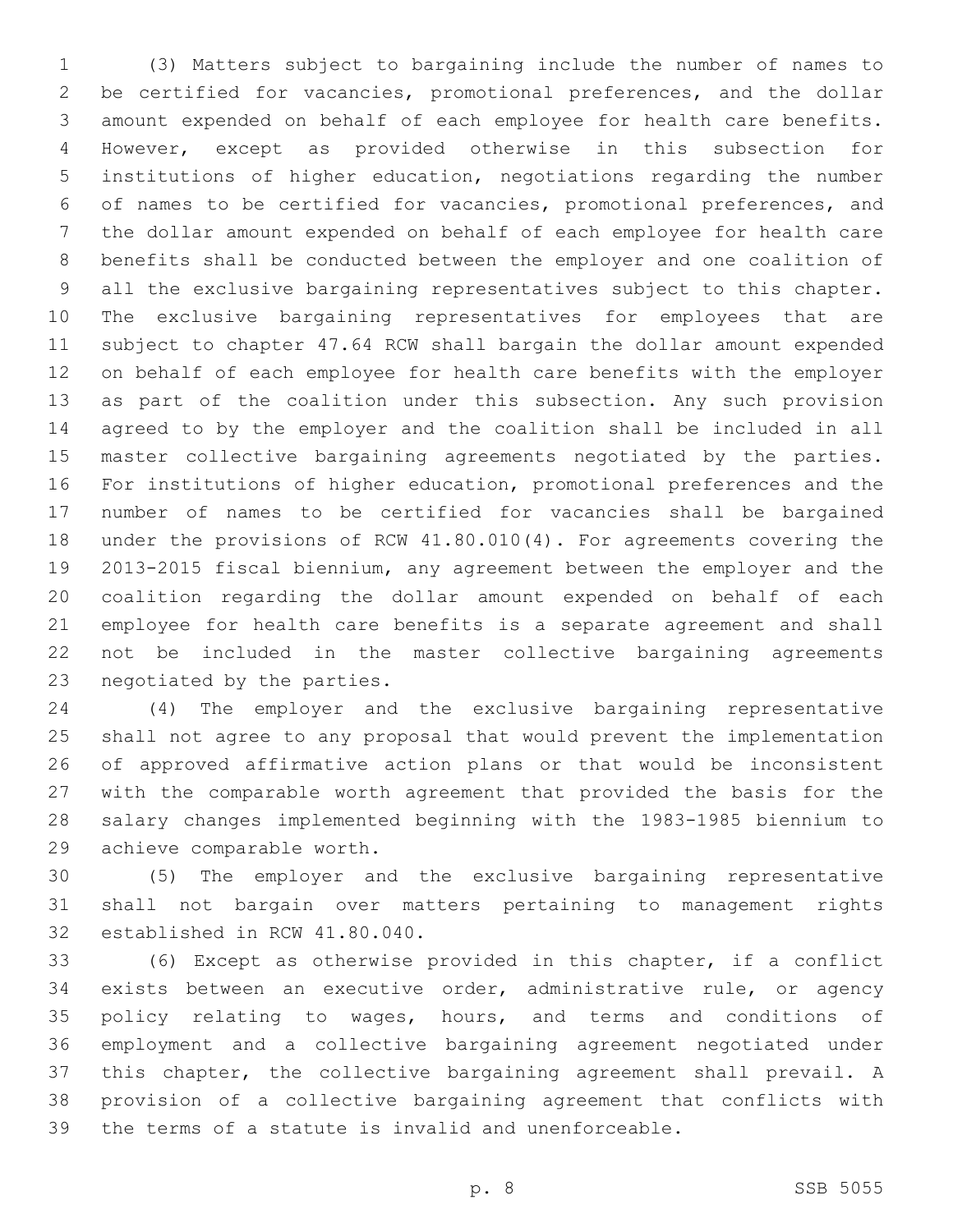(3) Matters subject to bargaining include the number of names to be certified for vacancies, promotional preferences, and the dollar amount expended on behalf of each employee for health care benefits. However, except as provided otherwise in this subsection for institutions of higher education, negotiations regarding the number of names to be certified for vacancies, promotional preferences, and the dollar amount expended on behalf of each employee for health care benefits shall be conducted between the employer and one coalition of all the exclusive bargaining representatives subject to this chapter. The exclusive bargaining representatives for employees that are subject to chapter 47.64 RCW shall bargain the dollar amount expended on behalf of each employee for health care benefits with the employer as part of the coalition under this subsection. Any such provision agreed to by the employer and the coalition shall be included in all master collective bargaining agreements negotiated by the parties. For institutions of higher education, promotional preferences and the number of names to be certified for vacancies shall be bargained under the provisions of RCW 41.80.010(4). For agreements covering the 2013-2015 fiscal biennium, any agreement between the employer and the coalition regarding the dollar amount expended on behalf of each employee for health care benefits is a separate agreement and shall not be included in the master collective bargaining agreements 23 negotiated by the parties.

 (4) The employer and the exclusive bargaining representative shall not agree to any proposal that would prevent the implementation of approved affirmative action plans or that would be inconsistent with the comparable worth agreement that provided the basis for the salary changes implemented beginning with the 1983-1985 biennium to 29 achieve comparable worth.

 (5) The employer and the exclusive bargaining representative shall not bargain over matters pertaining to management rights 32 established in RCW 41.80.040.

 (6) Except as otherwise provided in this chapter, if a conflict exists between an executive order, administrative rule, or agency 35 policy relating to wages, hours, and terms and conditions of employment and a collective bargaining agreement negotiated under this chapter, the collective bargaining agreement shall prevail. A provision of a collective bargaining agreement that conflicts with the terms of a statute is invalid and unenforceable.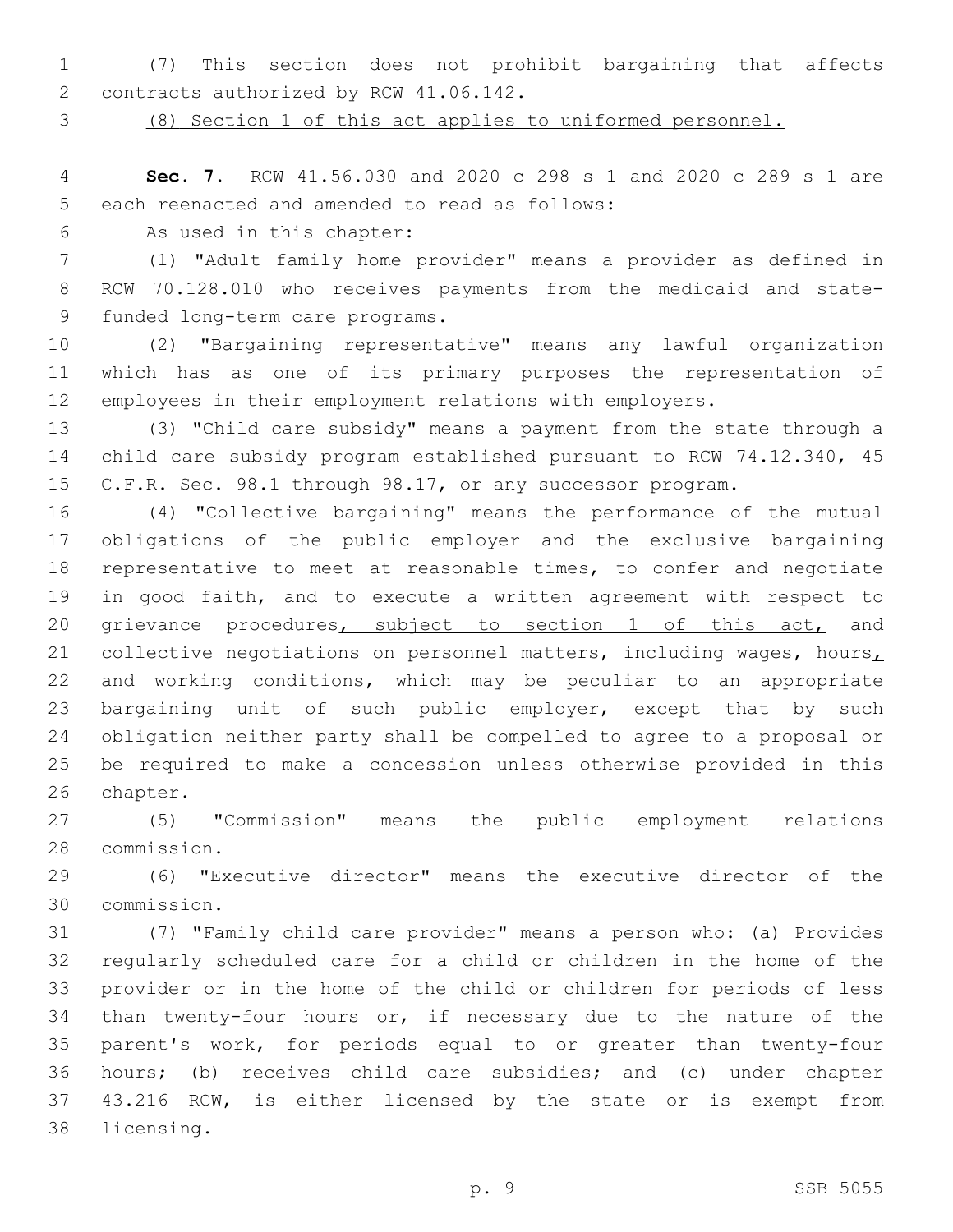(7) This section does not prohibit bargaining that affects 2 contracts authorized by RCW 41.06.142.

(8) Section 1 of this act applies to uniformed personnel.

 **Sec. 7.** RCW 41.56.030 and 2020 c 298 s 1 and 2020 c 289 s 1 are 5 each reenacted and amended to read as follows:

6 As used in this chapter:

 (1) "Adult family home provider" means a provider as defined in RCW 70.128.010 who receives payments from the medicaid and state-9 funded long-term care programs.

 (2) "Bargaining representative" means any lawful organization which has as one of its primary purposes the representation of employees in their employment relations with employers.

 (3) "Child care subsidy" means a payment from the state through a child care subsidy program established pursuant to RCW 74.12.340, 45 C.F.R. Sec. 98.1 through 98.17, or any successor program.

 (4) "Collective bargaining" means the performance of the mutual obligations of the public employer and the exclusive bargaining representative to meet at reasonable times, to confer and negotiate in good faith, and to execute a written agreement with respect to 20 grievance procedures, subject to section 1 of this act, and 21 collective negotiations on personnel matters, including wages, hours, and working conditions, which may be peculiar to an appropriate bargaining unit of such public employer, except that by such obligation neither party shall be compelled to agree to a proposal or be required to make a concession unless otherwise provided in this 26 chapter.

 (5) "Commission" means the public employment relations 28 commission.

 (6) "Executive director" means the executive director of the commission.30

 (7) "Family child care provider" means a person who: (a) Provides regularly scheduled care for a child or children in the home of the provider or in the home of the child or children for periods of less than twenty-four hours or, if necessary due to the nature of the parent's work, for periods equal to or greater than twenty-four hours; (b) receives child care subsidies; and (c) under chapter 43.216 RCW, is either licensed by the state or is exempt from 38 licensing.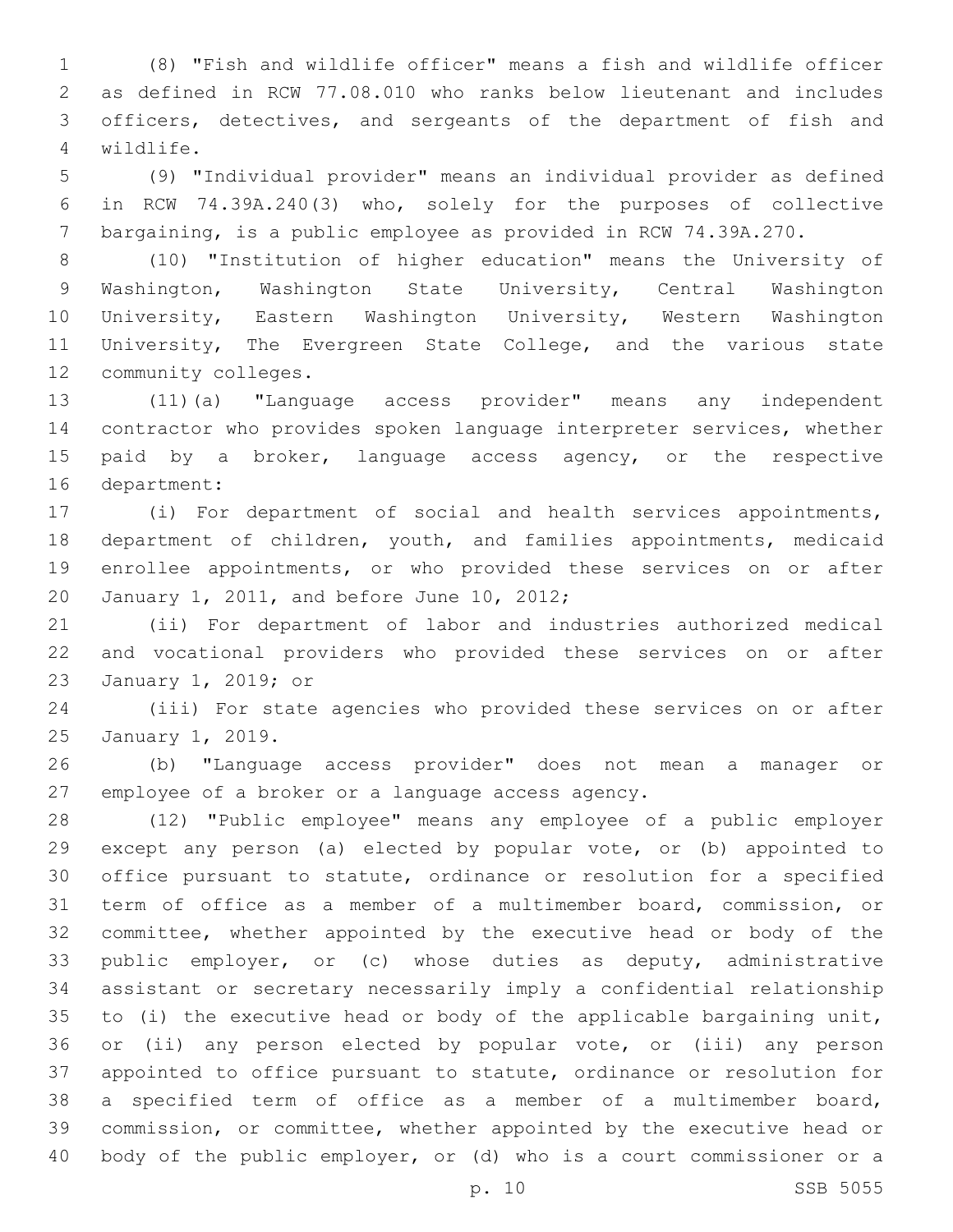(8) "Fish and wildlife officer" means a fish and wildlife officer as defined in RCW 77.08.010 who ranks below lieutenant and includes officers, detectives, and sergeants of the department of fish and wildlife.4

 (9) "Individual provider" means an individual provider as defined in RCW 74.39A.240(3) who, solely for the purposes of collective bargaining, is a public employee as provided in RCW 74.39A.270.

 (10) "Institution of higher education" means the University of Washington, Washington State University, Central Washington University, Eastern Washington University, Western Washington University, The Evergreen State College, and the various state 12 community colleges.

 (11)(a) "Language access provider" means any independent contractor who provides spoken language interpreter services, whether 15 paid by a broker, language access agency, or the respective 16 department:

 (i) For department of social and health services appointments, department of children, youth, and families appointments, medicaid enrollee appointments, or who provided these services on or after 20 January 1, 2011, and before June 10, 2012;

 (ii) For department of labor and industries authorized medical and vocational providers who provided these services on or after 23 January 1, 2019; or

 (iii) For state agencies who provided these services on or after 25 January 1, 2019.

 (b) "Language access provider" does not mean a manager or 27 employee of a broker or a language access agency.

 (12) "Public employee" means any employee of a public employer except any person (a) elected by popular vote, or (b) appointed to office pursuant to statute, ordinance or resolution for a specified term of office as a member of a multimember board, commission, or committee, whether appointed by the executive head or body of the public employer, or (c) whose duties as deputy, administrative assistant or secretary necessarily imply a confidential relationship to (i) the executive head or body of the applicable bargaining unit, or (ii) any person elected by popular vote, or (iii) any person appointed to office pursuant to statute, ordinance or resolution for a specified term of office as a member of a multimember board, commission, or committee, whether appointed by the executive head or body of the public employer, or (d) who is a court commissioner or a

p. 10 SSB 5055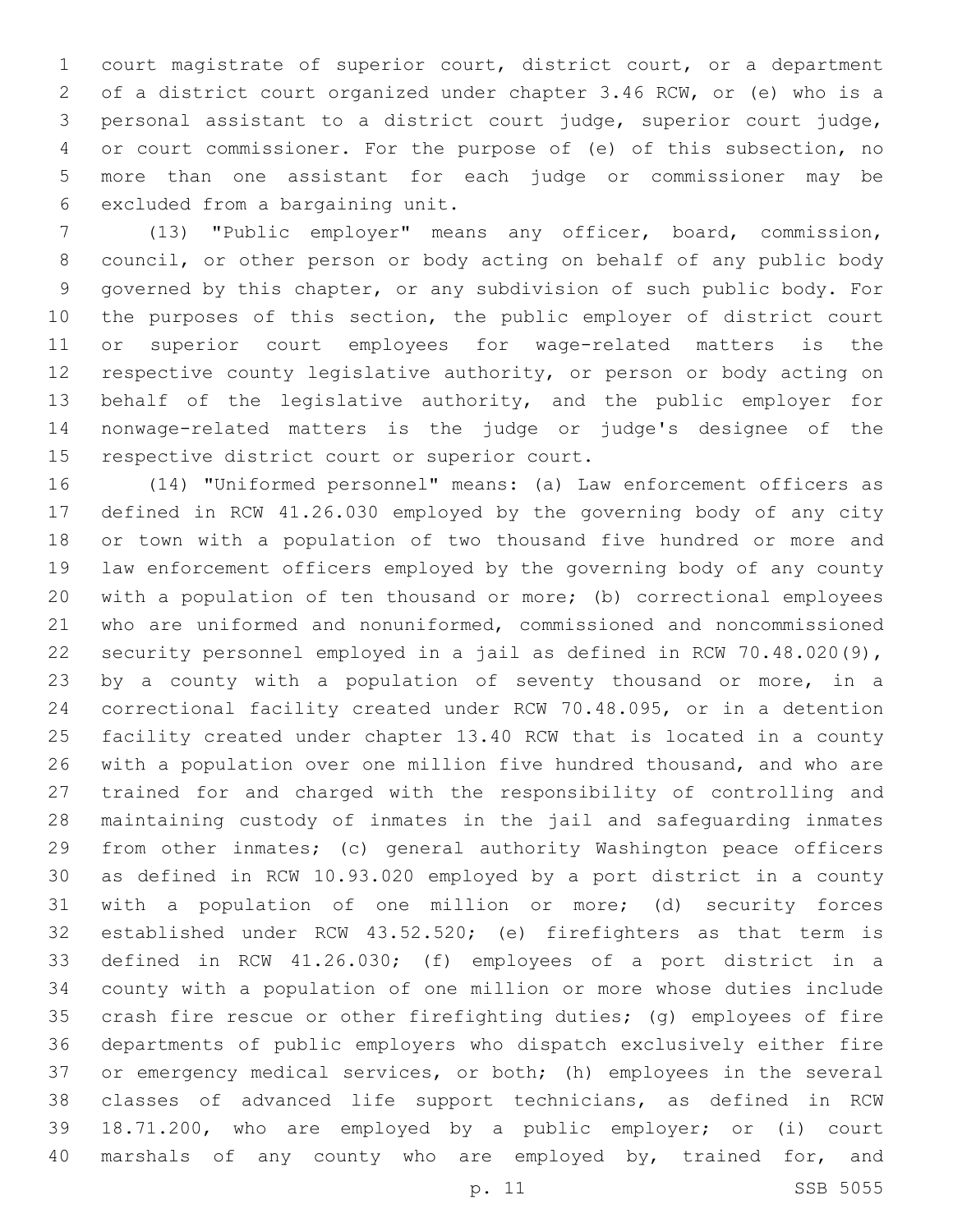court magistrate of superior court, district court, or a department of a district court organized under chapter 3.46 RCW, or (e) who is a personal assistant to a district court judge, superior court judge, or court commissioner. For the purpose of (e) of this subsection, no more than one assistant for each judge or commissioner may be 6 excluded from a bargaining unit.

 (13) "Public employer" means any officer, board, commission, council, or other person or body acting on behalf of any public body governed by this chapter, or any subdivision of such public body. For 10 the purposes of this section, the public employer of district court or superior court employees for wage-related matters is the respective county legislative authority, or person or body acting on behalf of the legislative authority, and the public employer for nonwage-related matters is the judge or judge's designee of the 15 respective district court or superior court.

 (14) "Uniformed personnel" means: (a) Law enforcement officers as defined in RCW 41.26.030 employed by the governing body of any city or town with a population of two thousand five hundred or more and law enforcement officers employed by the governing body of any county with a population of ten thousand or more; (b) correctional employees who are uniformed and nonuniformed, commissioned and noncommissioned security personnel employed in a jail as defined in RCW 70.48.020(9), by a county with a population of seventy thousand or more, in a correctional facility created under RCW 70.48.095, or in a detention facility created under chapter 13.40 RCW that is located in a county with a population over one million five hundred thousand, and who are trained for and charged with the responsibility of controlling and maintaining custody of inmates in the jail and safeguarding inmates from other inmates; (c) general authority Washington peace officers as defined in RCW 10.93.020 employed by a port district in a county with a population of one million or more; (d) security forces established under RCW 43.52.520; (e) firefighters as that term is defined in RCW 41.26.030; (f) employees of a port district in a county with a population of one million or more whose duties include crash fire rescue or other firefighting duties; (g) employees of fire departments of public employers who dispatch exclusively either fire or emergency medical services, or both; (h) employees in the several classes of advanced life support technicians, as defined in RCW 18.71.200, who are employed by a public employer; or (i) court 40 marshals of any county who are employed by, trained for, and

```
p. 11 SSB 5055
```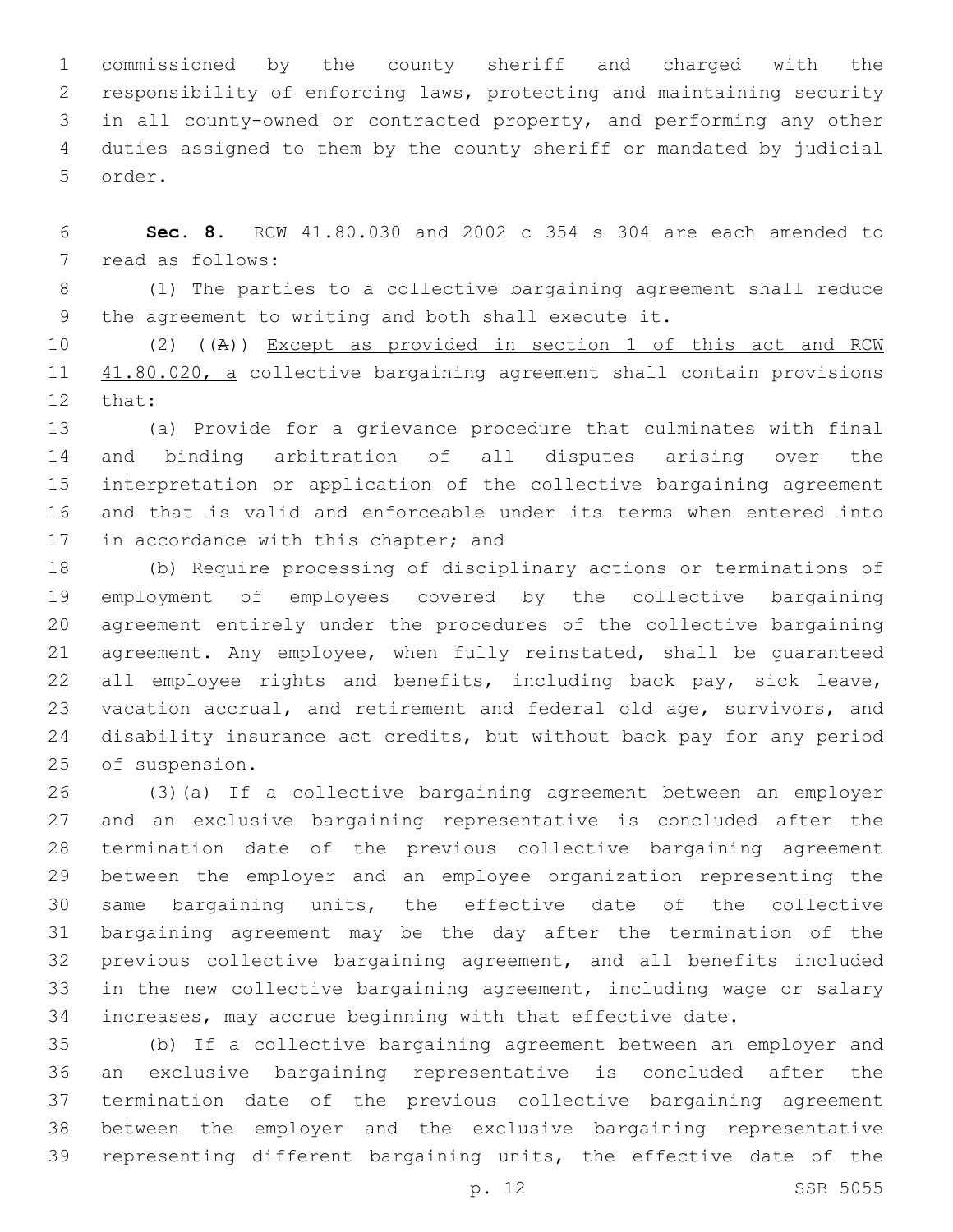commissioned by the county sheriff and charged with the responsibility of enforcing laws, protecting and maintaining security in all county-owned or contracted property, and performing any other duties assigned to them by the county sheriff or mandated by judicial 5 order.

 **Sec. 8.** RCW 41.80.030 and 2002 c 354 s 304 are each amended to 7 read as follows:

 (1) The parties to a collective bargaining agreement shall reduce the agreement to writing and both shall execute it.

 (2) ((A)) Except as provided in section 1 of this act and RCW 11 41.80.020, a collective bargaining agreement shall contain provisions 12 that:

 (a) Provide for a grievance procedure that culminates with final and binding arbitration of all disputes arising over the interpretation or application of the collective bargaining agreement and that is valid and enforceable under its terms when entered into 17 in accordance with this chapter; and

 (b) Require processing of disciplinary actions or terminations of employment of employees covered by the collective bargaining agreement entirely under the procedures of the collective bargaining agreement. Any employee, when fully reinstated, shall be guaranteed 22 all employee rights and benefits, including back pay, sick leave, vacation accrual, and retirement and federal old age, survivors, and disability insurance act credits, but without back pay for any period 25 of suspension.

 (3)(a) If a collective bargaining agreement between an employer and an exclusive bargaining representative is concluded after the termination date of the previous collective bargaining agreement between the employer and an employee organization representing the same bargaining units, the effective date of the collective bargaining agreement may be the day after the termination of the previous collective bargaining agreement, and all benefits included in the new collective bargaining agreement, including wage or salary increases, may accrue beginning with that effective date.

 (b) If a collective bargaining agreement between an employer and an exclusive bargaining representative is concluded after the termination date of the previous collective bargaining agreement between the employer and the exclusive bargaining representative representing different bargaining units, the effective date of the

p. 12 SSB 5055